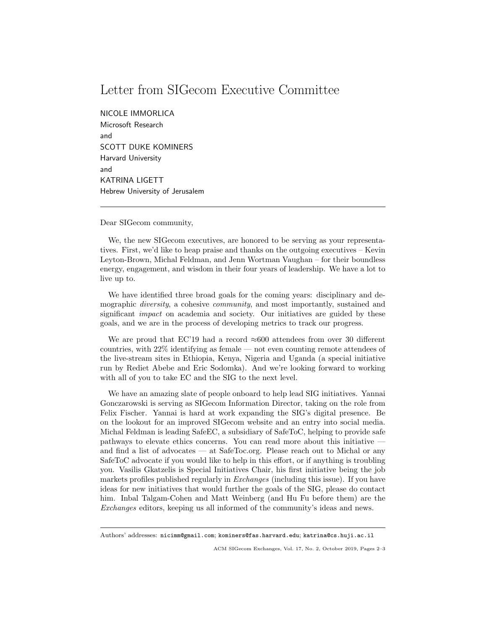## Letter from SIGecom Executive Committee

NICOLE IMMORLICA

Microsoft Research and SCOTT DUKE KOMINERS Harvard University and KATRINA LIGETT Hebrew University of Jerusalem

Dear SIGecom community,

We, the new SIGecom executives, are honored to be serving as your representatives. First, we'd like to heap praise and thanks on the outgoing executives – Kevin Leyton-Brown, Michal Feldman, and Jenn Wortman Vaughan – for their boundless energy, engagement, and wisdom in their four years of leadership. We have a lot to live up to.

We have identified three broad goals for the coming years: disciplinary and demographic *diversity*, a cohesive *community*, and most importantly, sustained and significant *impact* on academia and society. Our initiatives are guided by these goals, and we are in the process of developing metrics to track our progress.

We are proud that EC'19 had a record  $\approx 600$  attendees from over 30 different countries, with 22% identifying as female — not even counting remote attendees of the live-stream sites in Ethiopia, Kenya, Nigeria and Uganda (a special initiative run by Rediet Abebe and Eric Sodomka). And we're looking forward to working with all of you to take EC and the SIG to the next level.

We have an amazing slate of people onboard to help lead SIG initiatives. Yannai Gonczarowski is serving as SIGecom Information Director, taking on the role from Felix Fischer. Yannai is hard at work expanding the SIG's digital presence. Be on the lookout for an improved SIGecom website and an entry into social media. Michal Feldman is leading SafeEC, a subsidiary of SafeToC, helping to provide safe pathways to elevate ethics concerns. You can read more about this initiative and find a list of advocates — at SafeToc.org. Please reach out to Michal or any SafeToC advocate if you would like to help in this effort, or if anything is troubling you. Vasilis Gkatzelis is Special Initiatives Chair, his first initiative being the job markets profiles published regularly in *Exchanges* (including this issue). If you have ideas for new initiatives that would further the goals of the SIG, please do contact him. Inbal Talgam-Cohen and Matt Weinberg (and Hu Fu before them) are the Exchanges editors, keeping us all informed of the community's ideas and news.

Authors' addresses: nicimm@gmail.com; kominers@fas.harvard.edu; katrina@cs.huji.ac.il

ACM SIGecom Exchanges, Vol. 17, No. 2, October 2019, Pages 2–3